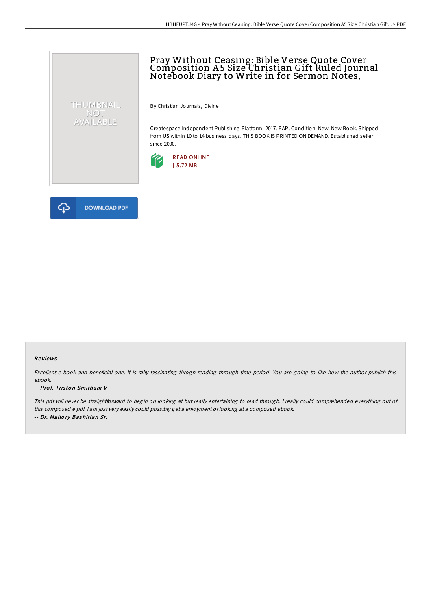# Pray Without Ceasing: Bible Verse Quote Cover Composition A 5 Size Christian Gift Ruled Journal Notebook Diary to Write in for Sermon Notes,

By Christian Journals, Divine

Createspace Independent Publishing Platform, 2017. PAP. Condition: New. New Book. Shipped from US within 10 to 14 business days. THIS BOOK IS PRINTED ON DEMAND. Established seller since 2000.





THUMBNAIL NOT<br>AVAILABLE

#### Re views

Excellent <sup>e</sup> book and beneficial one. It is rally fascinating throgh reading through time period. You are going to like how the author publish this ebook.

#### -- Prof. Triston Smitham V

This pdf will never be straightforward to begin on looking at but really entertaining to read through. <sup>I</sup> really could comprehended everything out of this composed <sup>e</sup> pdf. <sup>I</sup> am just very easily could possibly get <sup>a</sup> enjoyment of looking at <sup>a</sup> composed ebook. -- Dr. Mallo ry Bashirian Sr.